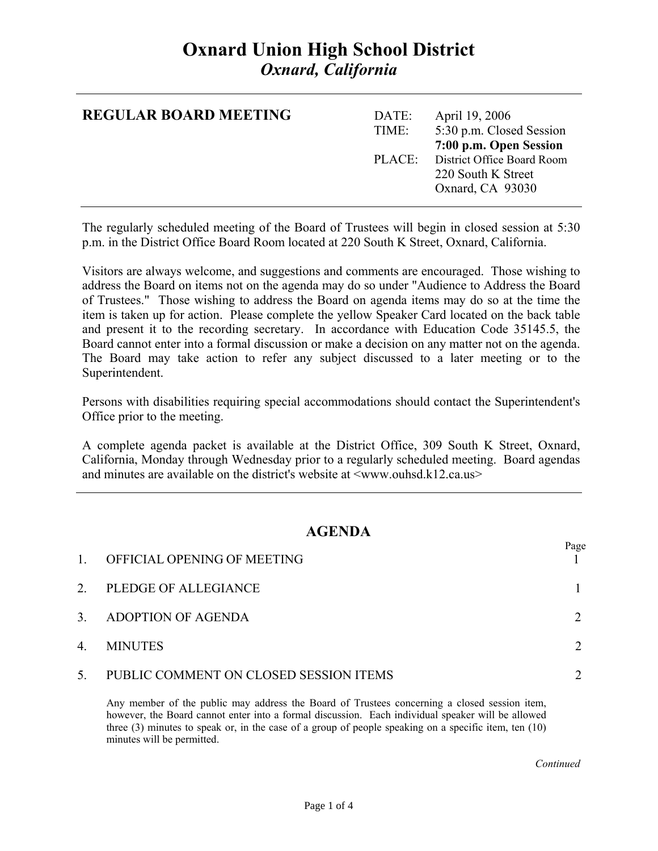# **Oxnard Union High School District**  *Oxnard, California*

| <b>REGULAR BOARD MEETING</b> | DATE:<br>TIME: | April 19, 2006<br>5:30 p.m. Closed Session                                                            |
|------------------------------|----------------|-------------------------------------------------------------------------------------------------------|
|                              |                | 7:00 p.m. Open Session<br>PLACE: District Office Board Room<br>220 South K Street<br>Oxnard, CA 93030 |

The regularly scheduled meeting of the Board of Trustees will begin in closed session at 5:30 p.m. in the District Office Board Room located at 220 South K Street, Oxnard, California.

Visitors are always welcome, and suggestions and comments are encouraged. Those wishing to address the Board on items not on the agenda may do so under "Audience to Address the Board of Trustees." Those wishing to address the Board on agenda items may do so at the time the item is taken up for action. Please complete the yellow Speaker Card located on the back table and present it to the recording secretary. In accordance with Education Code 35145.5, the Board cannot enter into a formal discussion or make a decision on any matter not on the agenda. The Board may take action to refer any subject discussed to a later meeting or to the Superintendent.

Persons with disabilities requiring special accommodations should contact the Superintendent's Office prior to the meeting.

A complete agenda packet is available at the District Office, 309 South K Street, Oxnard, California, Monday through Wednesday prior to a regularly scheduled meeting. Board agendas and minutes are available on the district's website at  $\langle$ www.ouhsd.k12.ca.us $>$ 

### **AGENDA**

| $\mathbf{1}$ | OFFICIAL OPENING OF MEETING            | Page |
|--------------|----------------------------------------|------|
| 2.           | PLEDGE OF ALLEGIANCE                   |      |
| 3.           | ADOPTION OF AGENDA                     |      |
| 4.           | <b>MINUTES</b>                         |      |
| 5.           | PUBLIC COMMENT ON CLOSED SESSION ITEMS |      |

Any member of the public may address the Board of Trustees concerning a closed session item, however, the Board cannot enter into a formal discussion. Each individual speaker will be allowed three (3) minutes to speak or, in the case of a group of people speaking on a specific item, ten (10) minutes will be permitted.

*Continued Continued*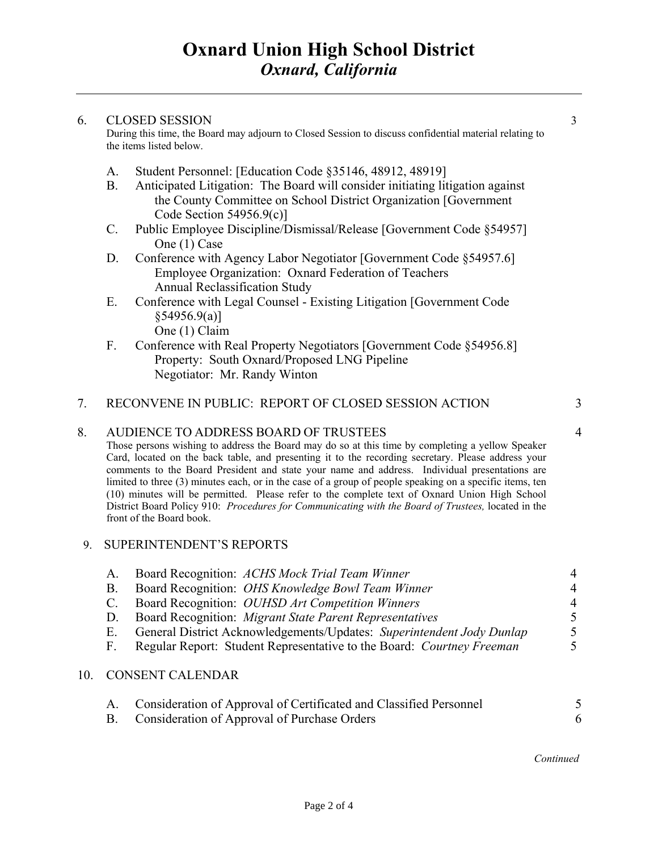#### 6. CLOSED SESSION 3

During this time, the Board may adjourn to Closed Session to discuss confidential material relating to the items listed below.

- A. Student Personnel: [Education Code §35146, 48912, 48919]
- B. Anticipated Litigation: The Board will consider initiating litigation against the County Committee on School District Organization [Government Code Section 54956.9(c)]
- C. Public Employee Discipline/Dismissal/Release [Government Code §54957] One (1) Case
- D. Conference with Agency Labor Negotiator [Government Code §54957.6] Employee Organization: Oxnard Federation of Teachers Annual Reclassification Study
- E. Conference with Legal Counsel Existing Litigation [Government Code  $§54956.9(a)]$ One (1) Claim
- F. Conference with Real Property Negotiators [Government Code §54956.8] Property: South Oxnard/Proposed LNG Pipeline Negotiator: Mr. Randy Winton

## 7. RECONVENE IN PUBLIC: REPORT OF CLOSED SESSION ACTION 3

#### 8. AUDIENCE TO ADDRESS BOARD OF TRUSTEES 4

Those persons wishing to address the Board may do so at this time by completing a yellow Speaker Card, located on the back table, and presenting it to the recording secretary. Please address your comments to the Board President and state your name and address. Individual presentations are limited to three (3) minutes each, or in the case of a group of people speaking on a specific items, ten (10) minutes will be permitted. Please refer to the complete text of Oxnard Union High School District Board Policy 910: *Procedures for Communicating with the Board of Trustees,* located in the front of the Board book.

#### 9. SUPERINTENDENT'S REPORTS

| Board Recognition: ACHS Mock Trial Team Winner                        | $\overline{4}$ |
|-----------------------------------------------------------------------|----------------|
| Board Recognition: <i>OHS Knowledge Bowl Team Winner</i>              | $\overline{4}$ |
| Board Recognition: <i>OUHSD Art Competition Winners</i>               | 4              |
| Board Recognition: Migrant State Parent Representatives               | 5.             |
| General District Acknowledgements/Updates: Superintendent Jody Dunlap | $\mathcal{F}$  |
| Regular Report: Student Representative to the Board: Courtney Freeman | 5.             |
|                                                                       |                |

### 10. CONSENT CALENDAR

| Consideration of Approval of Certificated and Classified Personnel |  |
|--------------------------------------------------------------------|--|
| Consideration of Approval of Purchase Orders                       |  |

#### *Continued*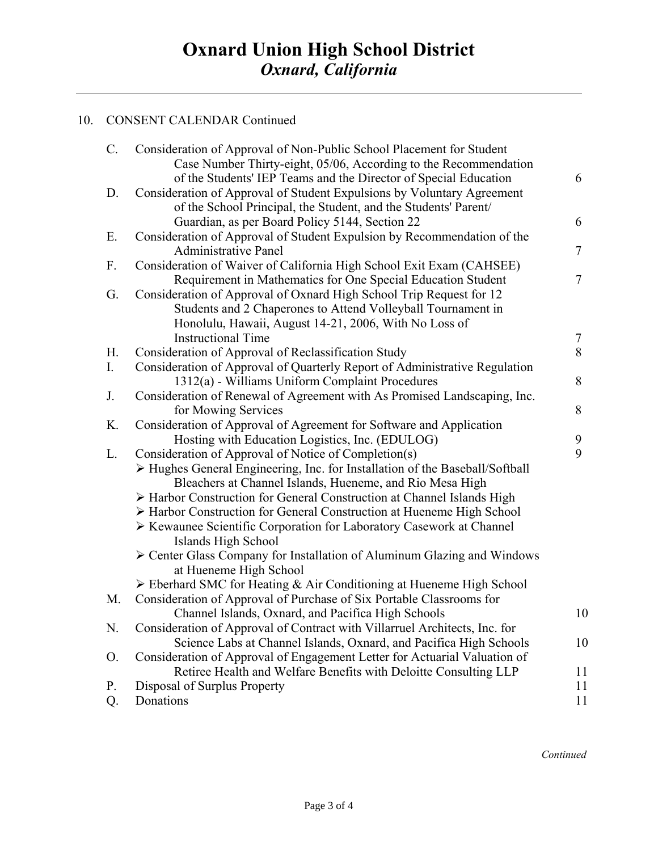## 10. CONSENT CALENDAR Continued

| C. | Consideration of Approval of Non-Public School Placement for Student                        |                          |
|----|---------------------------------------------------------------------------------------------|--------------------------|
|    | Case Number Thirty-eight, 05/06, According to the Recommendation                            |                          |
|    | of the Students' IEP Teams and the Director of Special Education                            | 6                        |
| D. | Consideration of Approval of Student Expulsions by Voluntary Agreement                      |                          |
|    | of the School Principal, the Student, and the Students' Parent/                             |                          |
|    | Guardian, as per Board Policy 5144, Section 22                                              | 6                        |
| Ε. | Consideration of Approval of Student Expulsion by Recommendation of the                     |                          |
|    | <b>Administrative Panel</b>                                                                 | $\overline{\mathcal{L}}$ |
| F. | Consideration of Waiver of California High School Exit Exam (CAHSEE)                        |                          |
|    | Requirement in Mathematics for One Special Education Student                                | 7                        |
| G. | Consideration of Approval of Oxnard High School Trip Request for 12                         |                          |
|    | Students and 2 Chaperones to Attend Volleyball Tournament in                                |                          |
|    | Honolulu, Hawaii, August 14-21, 2006, With No Loss of                                       |                          |
|    | <b>Instructional Time</b>                                                                   | 7                        |
| H. | Consideration of Approval of Reclassification Study                                         | 8                        |
| I. | Consideration of Approval of Quarterly Report of Administrative Regulation                  |                          |
|    | 1312(a) - Williams Uniform Complaint Procedures                                             | 8                        |
| J. | Consideration of Renewal of Agreement with As Promised Landscaping, Inc.                    |                          |
|    | for Mowing Services                                                                         | 8                        |
| K. | Consideration of Approval of Agreement for Software and Application                         |                          |
|    | Hosting with Education Logistics, Inc. (EDULOG)                                             | 9                        |
| L. | Consideration of Approval of Notice of Completion(s)                                        | 9                        |
|    | $\triangleright$ Hughes General Engineering, Inc. for Installation of the Baseball/Softball |                          |
|    | Bleachers at Channel Islands, Hueneme, and Rio Mesa High                                    |                          |
|    | > Harbor Construction for General Construction at Channel Islands High                      |                          |
|    | > Harbor Construction for General Construction at Hueneme High School                       |                          |
|    | > Kewaunee Scientific Corporation for Laboratory Casework at Channel                        |                          |
|    | Islands High School                                                                         |                          |
|    | > Center Glass Company for Installation of Aluminum Glazing and Windows                     |                          |
|    | at Hueneme High School                                                                      |                          |
|    | $\triangleright$ Eberhard SMC for Heating & Air Conditioning at Hueneme High School         |                          |
| M. | Consideration of Approval of Purchase of Six Portable Classrooms for                        |                          |
|    | Channel Islands, Oxnard, and Pacifica High Schools                                          | 10                       |
| N. | Consideration of Approval of Contract with Villarruel Architects, Inc. for                  |                          |
|    | Science Labs at Channel Islands, Oxnard, and Pacifica High Schools                          | 10                       |
| O. | Consideration of Approval of Engagement Letter for Actuarial Valuation of                   |                          |
|    | Retiree Health and Welfare Benefits with Deloitte Consulting LLP                            | 11                       |
| P. | Disposal of Surplus Property                                                                | 11                       |
| Q. | Donations                                                                                   | 11                       |
|    |                                                                                             |                          |

*Continued Continued*